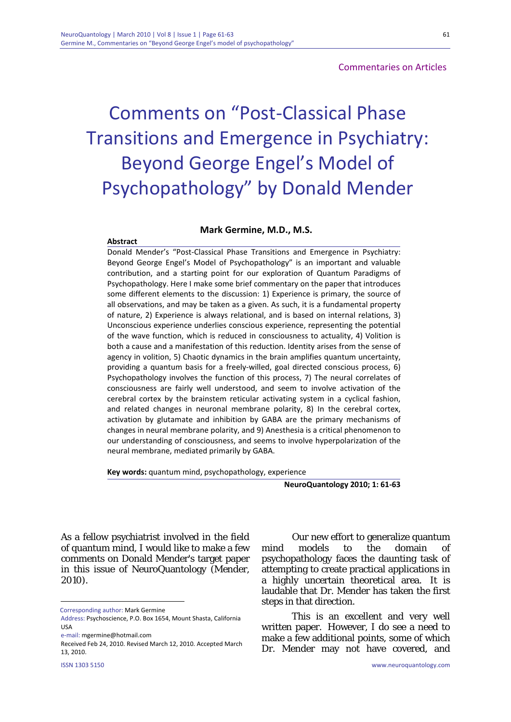# **Commentaries on Articles**

# Comments on "Post‐Classical Phase Transitions and Emergence in Psychiatry: Beyond George Engel's Model of Psychopathology" by Donald Mender

#### **Mark Germine, M.D., M.S.**

## **Abstract**

Donald Mender's "Post‐Classical Phase Transitions and Emergence in Psychiatry: Beyond George Engel's Model of Psychopathology" is an important and valuable contribution, and a starting point for our exploration of Quantum Paradigms of Psychopathology. Here I make some brief commentary on the paper that introduces some different elements to the discussion: 1) Experience is primary, the source of all observations, and may be taken as a given. As such, it is a fundamental property of nature, 2) Experience is always relational, and is based on internal relations, 3) Unconscious experience underlies conscious experience, representing the potential of the wave function, which is reduced in consciousness to actuality, 4) Volition is both a cause and a manifestation of this reduction. Identity arises from the sense of agency in volition, 5) Chaotic dynamics in the brain amplifies quantum uncertainty, providing a quantum basis for a freely‐willed, goal directed conscious process, 6) Psychopathology involves the function of this process, 7) The neural correlates of consciousness are fairly well understood, and seem to involve activation of the cerebral cortex by the brainstem reticular activating system in a cyclical fashion, and related changes in neuronal membrane polarity, 8) In the cerebral cortex, activation by glutamate and inhibition by GABA are the primary mechanisms of changes in neural membrane polarity, and 9) Anesthesia is a critical phenomenon to our understanding of consciousness, and seems to involve hyperpolarization of the neural membrane, mediated primarily by GABA.

**Key words:** quantum mind, psychopathology, experience

**NeuroQuantology 2010; 1: 61‐63**

As a fellow psychiatrist involved in the field of quantum mind, I would like to make a few comments on Donald Mender's target paper in this issue of NeuroQuantology (Mender, 2010).

<u>.</u>

Our new effort to generalize quantum mind models to the domain of psychopathology faces the daunting task of attempting to create practical applications in a highly uncertain theoretical area. It is laudable that Dr. Mender has taken the first steps in that direction.

This is an excellent and very well written paper. However, I do see a need to make a few additional points, some of which Dr. Mender may not have covered, and

Corresponding author: Mark Germine

Address: Psychoscience, P.O. Box 1654, Mount Shasta, California USA

e‐mail: mgermine@hotmail.com

Received Feb 24, 2010. Revised March 12, 2010. Accepted March 13, 2010.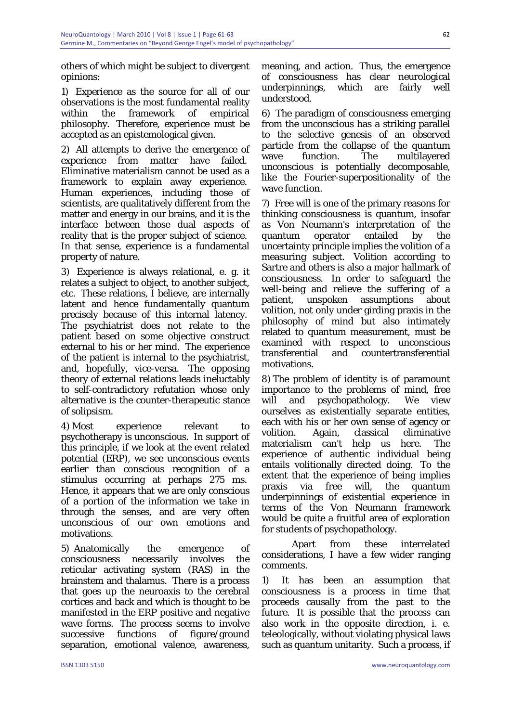62

others of which might be subject to divergent opinions:

1) Experience as the source for all of our observations is the most fundamental reality within the framework of empirical philosophy. Therefore, experience must be accepted as an epistemological given.

2) All attempts to derive the emergence of experience from matter have failed. Eliminative materialism cannot be used as a framework to explain away experience. Human experiences, including those of scientists, are qualitatively different from the matter and energy in our brains, and it is the interface between those dual aspects of reality that is the proper subject of science. In that sense, experience is a fundamental property of nature.

3) Experience is always relational, e. g. it relates a subject to object, to another subject, etc. These relations, I believe, are internally latent and hence fundamentally quantum precisely because of this internal latency. The psychiatrist does not relate to the patient based on some objective construct external to his or her mind. The experience of the patient is internal to the psychiatrist, and, hopefully, vice-versa. The opposing theory of external relations leads ineluctably to self-contradictory refutation whose only alternative is the counter-therapeutic stance of solipsism.

4) Most experience relevant to psychotherapy is unconscious. In support of this principle, if we look at the event related potential (ERP), we see unconscious events earlier than conscious recognition of a stimulus occurring at perhaps 275 ms. Hence, it appears that we are only conscious of a portion of the information we take in through the senses, and are very often unconscious of our own emotions and motivations.

5) Anatomically the emergence of consciousness necessarily involves the reticular activating system (RAS) in the brainstem and thalamus. There is a process that goes up the neuroaxis to the cerebral cortices and back and which is thought to be manifested in the ERP positive and negative wave forms. The process seems to involve successive functions of figure/ground separation, emotional valence, awareness,

meaning, and action. Thus, the emergence of consciousness has clear neurological underpinnings, which are fairly well understood.

6) The paradigm of consciousness emerging from the unconscious has a striking parallel to the selective genesis of an observed particle from the collapse of the quantum wave function. The multilayered unconscious is potentially decomposable, like the Fourier-superpositionality of the wave function.

7) Free will is one of the primary reasons for thinking consciousness is quantum, insofar as Von Neumann's interpretation of the quantum operator entailed by the uncertainty principle implies the volition of a measuring subject. Volition according to Sartre and others is also a major hallmark of consciousness. In order to safeguard the well-being and relieve the suffering of a patient, unspoken assumptions about volition, not only under girding praxis in the philosophy of mind but also intimately related to quantum measurement, must be examined with respect to unconscious transferential and countertransferential motivations.

8) The problem of identity is of paramount importance to the problems of mind, free will and psychopathology. We view ourselves as existentially separate entities, each with his or her own sense of agency or volition. Again, classical eliminative materialism can't help us here. The experience of authentic individual being entails volitionally directed doing. To the extent that the experience of being implies praxis via free will, the quantum underpinnings of existential experience in terms of the Von Neumann framework would be quite a fruitful area of exploration for students of psychopathology.

Apart from these interrelated considerations, I have a few wider ranging comments.

1) It has been an assumption that consciousness is a process in time that proceeds causally from the past to the future. It is possible that the process can also work in the opposite direction, i. e. teleologically, without violating physical laws such as quantum unitarity. Such a process, if